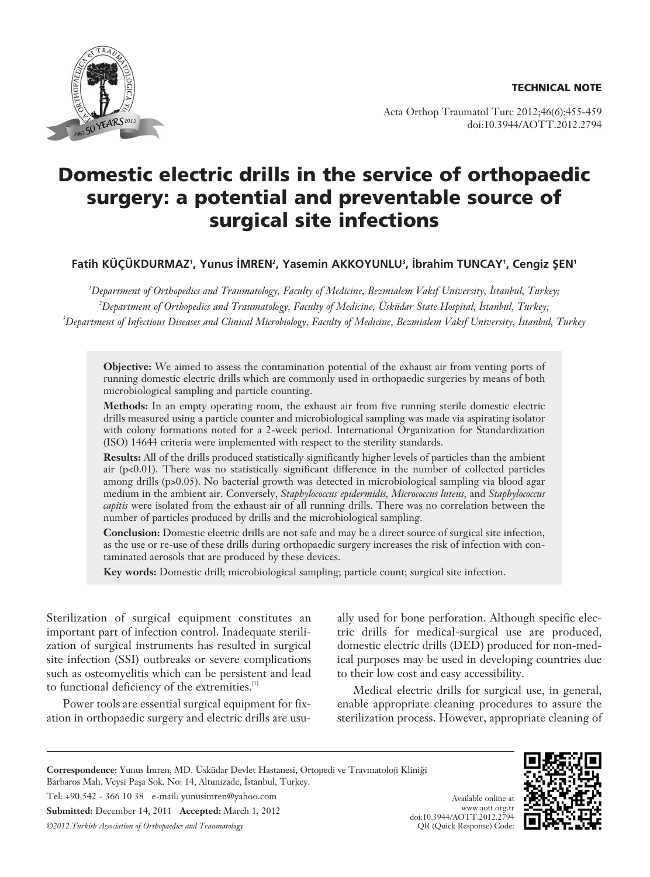

Acta Orthop Traumatol Turc 2012;46(6):455-459 doi:10.3944/AOTT.2012.2794

# **Domestic electric drills in the service of orthopaedic surgery: a potential and preventable source of surgical site infections**

Fatih KÜÇÜKDURMAZ', Yunus İMREN<del>'</del>, Yasemin AKKOYUNLU<sup>3</sup>, İbrahim TUNCAY', Cengiz ŞEN'

*1 Department of Orthopedics and Traumatology, Faculty of Medicine, Bezmialem Vak›f University, ‹stanbul, Turkey; 2 Department of Orthopedics and Traumatology, Faculty of Medicine, Üsküdar State Hospital, ‹stanbul, Turkey;* <sup>3</sup>Department of Infectious Diseases and Clinical Microbiology, Faculty of Medicine, Bezmialem Vakıf University, Istanbul, Turkey

**Objective:** We aimed to assess the contamination potential of the exhaust air from venting ports of running domestic electric drills which are commonly used in orthopaedic surgeries by means of both microbiological sampling and particle counting.

**Methods:** In an empty operating room, the exhaust air from five running sterile domestic electric drills measured using a particle counter and microbiological sampling was made via aspirating isolator with colony formations noted for a 2-week period. International Organization for Standardization (ISO) 14644 criteria were implemented with respect to the sterility standards.

**Results:** All of the drills produced statistically significantly higher levels of particles than the ambient air (p<0.01). There was no statistically significant difference in the number of collected particles among drills (p>0.05). No bacterial growth was detected in microbiological sampling via blood agar medium in the ambient air. Conversely, *Staphylococcus epidermidis, Micrococcus luteus,* and *Staphylococcus capitis* were isolated from the exhaust air of all running drills. There was no correlation between the number of particles produced by drills and the microbiological sampling.

**Conclusion:** Domestic electric drills are not safe and may be a direct source of surgical site infection, as the use or re-use of these drills during orthopaedic surgery increases the risk of infection with contaminated aerosols that are produced by these devices.

**Key words:** Domestic drill; microbiological sampling; particle count; surgical site infection.

Sterilization of surgical equipment constitutes an important part of infection control. Inadequate sterilization of surgical instruments has resulted in surgical site infection (SSI) outbreaks or severe complications such as osteomyelitis which can be persistent and lead to functional deficiency of the extremities.<sup>[1]</sup>

Power tools are essential surgical equipment for fixation in orthopaedic surgery and electric drills are usually used for bone perforation. Although specific electric drills for medical-surgical use are produced, domestic electric drills (DED) produced for non-medical purposes may be used in developing countries due to their low cost and easy accessibility.

Medical electric drills for surgical use, in general, enable appropriate cleaning procedures to assure the sterilization process. However, appropriate cleaning of

> Available online at www.aott.org.tr

Correspondence: Yunus İmren, MD. Üsküdar Devlet Hastanesi, Ortopedi ve Travmatoloji Kliniği Barbaros Mah. Veysi Paşa Sok. No: 14, Altunizade, İstanbul, Turkey. Tel: +90 542 - 366 10 38 e-mail: yunusimren@yahoo.com **Submitted:** December 14, 2011 **Accepted:** March 1, 2012 *©2012 Turkish Association of Orthopaedics and Traumatology* doi:10.3944/AOTT.2012.2794 QR (Quick Response) Code:

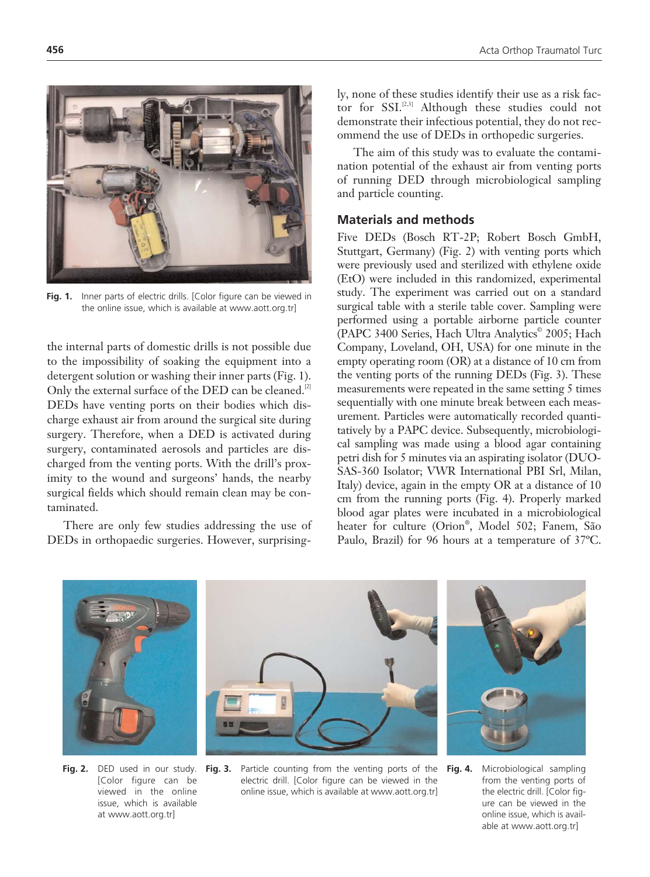

Fig. 1. Inner parts of electric drills. [Color figure can be viewed in the online issue, which is available at www.aott.org.tr]

the internal parts of domestic drills is not possible due to the impossibility of soaking the equipment into a detergent solution or washing their inner parts (Fig. 1). Only the external surface of the DED can be cleaned.<sup>[2]</sup> DEDs have venting ports on their bodies which discharge exhaust air from around the surgical site during surgery. Therefore, when a DED is activated during surgery, contaminated aerosols and particles are discharged from the venting ports. With the drill's proximity to the wound and surgeons' hands, the nearby surgical fields which should remain clean may be contaminated.

There are only few studies addressing the use of DEDs in orthopaedic surgeries. However, surprisingly, none of these studies identify their use as a risk factor for SSI.<sup>[2,3]</sup> Although these studies could not demonstrate their infectious potential, they do not recommend the use of DEDs in orthopedic surgeries.

The aim of this study was to evaluate the contamination potential of the exhaust air from venting ports of running DED through microbiological sampling and particle counting.

## **Materials and methods**

Five DEDs (Bosch RT-2P; Robert Bosch GmbH, Stuttgart, Germany) (Fig. 2) with venting ports which were previously used and sterilized with ethylene oxide (EtO) were included in this randomized, experimental study. The experiment was carried out on a standard surgical table with a sterile table cover. Sampling were performed using a portable airborne particle counter (PAPC 3400 Series, Hach Ultra Analytics<sup>®</sup> 2005; Hach Company, Loveland, OH, USA) for one minute in the empty operating room (OR) at a distance of 10 cm from the venting ports of the running DEDs (Fig. 3). These measurements were repeated in the same setting 5 times sequentially with one minute break between each measurement. Particles were automatically recorded quantitatively by a PAPC device. Subsequently, microbiological sampling was made using a blood agar containing petri dish for 5 minutes via an aspirating isolator (DUO-SAS-360 Isolator; VWR International PBI Srl, Milan, Italy) device, again in the empty OR at a distance of 10 cm from the running ports (Fig. 4). Properly marked blood agar plates were incubated in a microbiological heater for culture (Orion® , Model 502; Fanem, São Paulo, Brazil) for 96 hours at a temperature of 37ºC.



**Fig. 2.** DED used in our study. [Color figure can be viewed in the online issue, which is available at www.aott.org.tr]

**Fig. 3.** Particle counting from the venting ports of the electric drill. [Color figure can be viewed in the online issue, which is available at www.aott.org.tr]

**Fig. 4.** Microbiological sampling from the venting ports of the electric drill. [Color figure can be viewed in the online issue, which is available at www.aott.org.tr]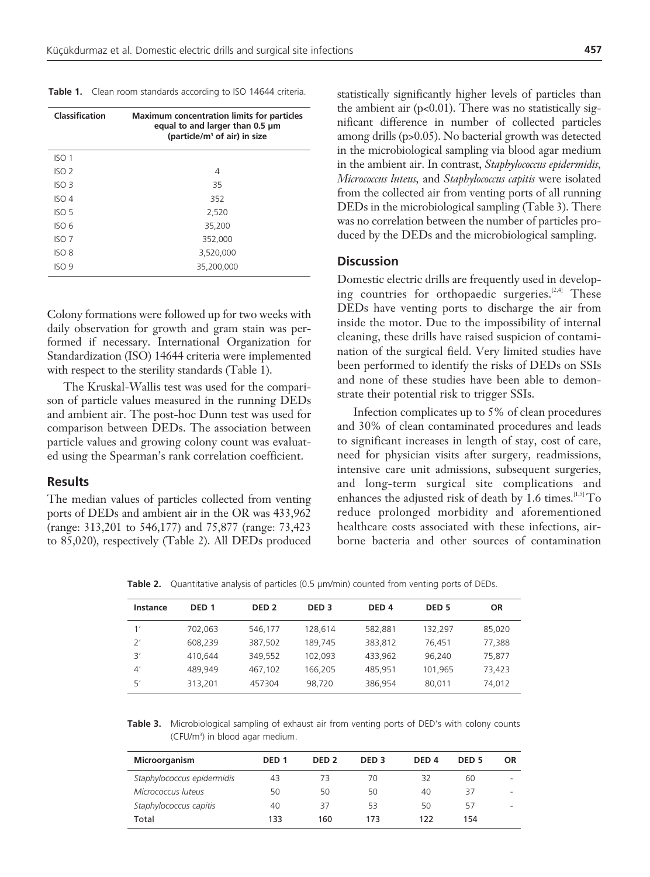| Classification   | <b>Maximum concentration limits for particles</b><br>equal to and larger than 0.5 um<br>(particle/m <sup>3</sup> of air) in size |
|------------------|----------------------------------------------------------------------------------------------------------------------------------|
| ISO 1            |                                                                                                                                  |
| ISO <sub>2</sub> | 4                                                                                                                                |
| ISO <sub>3</sub> | 35                                                                                                                               |
| ISO 4            | 352                                                                                                                              |
| ISO <sub>5</sub> | 2,520                                                                                                                            |
| ISO 6            | 35,200                                                                                                                           |
| ISO 7            | 352,000                                                                                                                          |
| ISO 8            | 3,520,000                                                                                                                        |
| ISO 9            | 35,200,000                                                                                                                       |

Table 1. Clean room standards according to ISO 14644 criteria.

Colony formations were followed up for two weeks with daily observation for growth and gram stain was performed if necessary. International Organization for Standardization (ISO) 14644 criteria were implemented with respect to the sterility standards (Table 1).

The Kruskal-Wallis test was used for the comparison of particle values measured in the running DEDs and ambient air. The post-hoc Dunn test was used for comparison between DEDs. The association between particle values and growing colony count was evaluated using the Spearman's rank correlation coefficient.

#### **Results**

The median values of particles collected from venting ports of DEDs and ambient air in the OR was 433,962 (range: 313,201 to 546,177) and 75,877 (range: 73,423 to 85,020), respectively (Table 2). All DEDs produced statistically significantly higher levels of particles than the ambient air ( $p<0.01$ ). There was no statistically significant difference in number of collected particles among drills (p>0.05). No bacterial growth was detected in the microbiological sampling via blood agar medium in the ambient air. In contrast, *Staphylococcus epidermidis, Micrococcus luteus,* and *Staphylococcus capitis* were isolated from the collected air from venting ports of all running DEDs in the microbiological sampling (Table 3). There was no correlation between the number of particles produced by the DEDs and the microbiological sampling.

#### **Discussion**

Domestic electric drills are frequently used in developing countries for orthopaedic surgeries.<sup>[2,4]</sup> These DEDs have venting ports to discharge the air from inside the motor. Due to the impossibility of internal cleaning, these drills have raised suspicion of contamination of the surgical field. Very limited studies have been performed to identify the risks of DEDs on SSIs and none of these studies have been able to demonstrate their potential risk to trigger SSIs.

Infection complicates up to 5% of clean procedures and 30% of clean contaminated procedures and leads to significant increases in length of stay, cost of care, need for physician visits after surgery, readmissions, intensive care unit admissions, subsequent surgeries, and long-term surgical site complications and enhances the adjusted risk of death by 1.6 times.<sup>[1,5]</sup> To reduce prolonged morbidity and aforementioned healthcare costs associated with these infections, airborne bacteria and other sources of contamination

**Table 2.** Quantitative analysis of particles (0.5  $\mu$ m/min) counted from venting ports of DEDs.

| Instance       | DED <sub>1</sub> | DED <sub>2</sub> | DED <sub>3</sub> | DED <sub>4</sub> | DED <sub>5</sub> | <b>OR</b> |
|----------------|------------------|------------------|------------------|------------------|------------------|-----------|
| 1'             | 702,063          | 546.177          | 128.614          | 582.881          | 132.297          | 85,020    |
| 2'             | 608.239          | 387.502          | 189.745          | 383,812          | 76.451           | 77.388    |
| 3'             | 410.644          | 349.552          | 102.093          | 433.962          | 96.240           | 75,877    |
| $\mathcal{A}'$ | 489.949          | 467,102          | 166.205          | 485.951          | 101.965          | 73,423    |
| 5'             | 313,201          | 457304           | 98,720           | 386,954          | 80.011           | 74,012    |

**Table 3.** Microbiological sampling of exhaust air from venting ports of DED's with colony counts (CFU/m3 ) in blood agar medium.

| <b>Microorganism</b>       | DED <sub>1</sub> | DED <sub>2</sub> | DED <sub>3</sub> | DED <sub>4</sub> | DED <sub>5</sub> | <b>OR</b> |
|----------------------------|------------------|------------------|------------------|------------------|------------------|-----------|
| Staphylococcus epidermidis | 43               | 73               | 70               | 32               | 60               |           |
| Micrococcus luteus         | 50               | 50               | 50               | 40               | 37               |           |
| Staphylococcus capitis     | 40               | 37               | 53               | 50               | 57               |           |
| Total                      | 133              | 160              | 173              | 122              | 154              |           |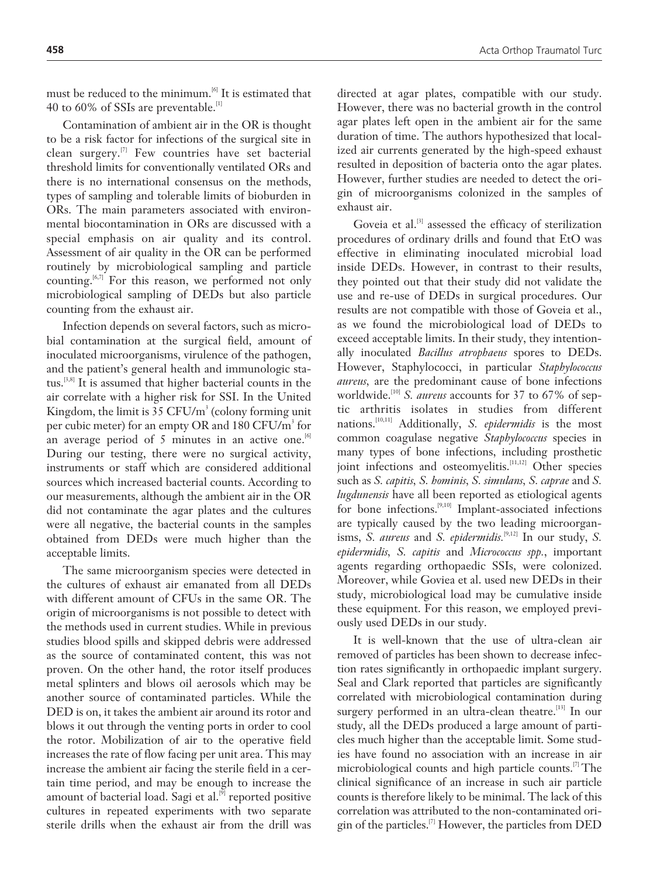must be reduced to the minimum.[6] It is estimated that 40 to 60% of SSIs are preventable.[1]

Contamination of ambient air in the OR is thought to be a risk factor for infections of the surgical site in clean surgery.[7] Few countries have set bacterial threshold limits for conventionally ventilated ORs and there is no international consensus on the methods, types of sampling and tolerable limits of bioburden in ORs. The main parameters associated with environmental biocontamination in ORs are discussed with a special emphasis on air quality and its control. Assessment of air quality in the OR can be performed routinely by microbiological sampling and particle counting.<sup>[6,7]</sup> For this reason, we performed not only microbiological sampling of DEDs but also particle counting from the exhaust air.

Infection depends on several factors, such as microbial contamination at the surgical field, amount of inoculated microorganisms, virulence of the pathogen, and the patient's general health and immunologic status.<sup>[3,8]</sup> It is assumed that higher bacterial counts in the air correlate with a higher risk for SSI. In the United Kingdom, the limit is 35  $\rm CFU/m^3$  (colony forming unit per cubic meter) for an empty OR and  $180\,\mathrm{CFU/m^3}$  for an average period of 5 minutes in an active one.  $[6]$ During our testing, there were no surgical activity, instruments or staff which are considered additional sources which increased bacterial counts. According to our measurements, although the ambient air in the OR did not contaminate the agar plates and the cultures were all negative, the bacterial counts in the samples obtained from DEDs were much higher than the acceptable limits.

The same microorganism species were detected in the cultures of exhaust air emanated from all DEDs with different amount of CFUs in the same OR. The origin of microorganisms is not possible to detect with the methods used in current studies. While in previous studies blood spills and skipped debris were addressed as the source of contaminated content, this was not proven. On the other hand, the rotor itself produces metal splinters and blows oil aerosols which may be another source of contaminated particles. While the DED is on, it takes the ambient air around its rotor and blows it out through the venting ports in order to cool the rotor. Mobilization of air to the operative field increases the rate of flow facing per unit area. This may increase the ambient air facing the sterile field in a certain time period, and may be enough to increase the amount of bacterial load. Sagi et al.<sup>[9]</sup> reported positive cultures in repeated experiments with two separate sterile drills when the exhaust air from the drill was

directed at agar plates, compatible with our study. However, there was no bacterial growth in the control agar plates left open in the ambient air for the same duration of time. The authors hypothesized that localized air currents generated by the high-speed exhaust resulted in deposition of bacteria onto the agar plates. However, further studies are needed to detect the origin of microorganisms colonized in the samples of exhaust air.

Goveia et al.<sup>[3]</sup> assessed the efficacy of sterilization procedures of ordinary drills and found that EtO was effective in eliminating inoculated microbial load inside DEDs. However, in contrast to their results, they pointed out that their study did not validate the use and re-use of DEDs in surgical procedures. Our results are not compatible with those of Goveia et al., as we found the microbiological load of DEDs to exceed acceptable limits. In their study, they intentionally inoculated *Bacillus atrophaeus* spores to DEDs. However, Staphylococci, in particular *Staphylococcus aureus,* are the predominant cause of bone infections worldwide.<sup>[10]</sup> *S. aureus* accounts for 37 to 67% of septic arthritis isolates in studies from different nations.[10,11] Additionally, *S. epidermidis* is the most common coagulase negative *Staphylococcus* species in many types of bone infections, including prosthetic joint infections and osteomyelitis.<sup>[11,12]</sup> Other species such as *S. capitis, S. hominis, S. simulans, S. caprae* and *S. lugdunensis* have all been reported as etiological agents for bone infections.<sup>[9,10]</sup> Implant-associated infections are typically caused by the two leading microorganisms, *S. aureus* and *S. epidermidis.*[9,12] In our study, *S. epidermidis, S. capitis* and *Micrococcus spp.*, important agents regarding orthopaedic SSIs, were colonized. Moreover, while Goviea et al. used new DEDs in their study, microbiological load may be cumulative inside these equipment. For this reason, we employed previously used DEDs in our study.

It is well-known that the use of ultra-clean air removed of particles has been shown to decrease infection rates significantly in orthopaedic implant surgery. Seal and Clark reported that particles are significantly correlated with microbiological contamination during surgery performed in an ultra-clean theatre.<sup>[13]</sup> In our study, all the DEDs produced a large amount of particles much higher than the acceptable limit. Some studies have found no association with an increase in air microbiological counts and high particle counts.[7] The clinical significance of an increase in such air particle counts is therefore likely to be minimal. The lack of this correlation was attributed to the non-contaminated origin of the particles.<sup>[7]</sup> However, the particles from DED